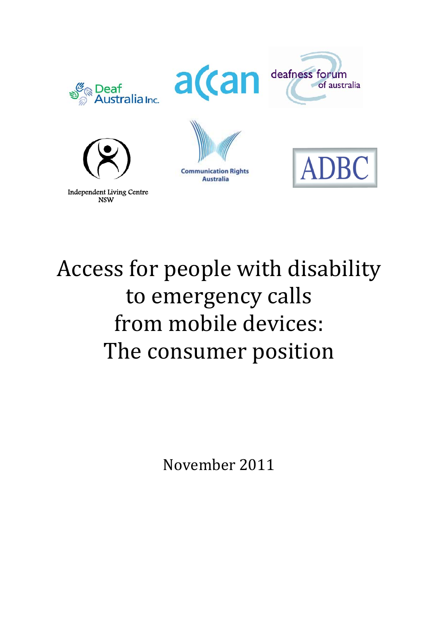

# Access for people with disability to emergency calls from mobile devices: The consumer position

November 2011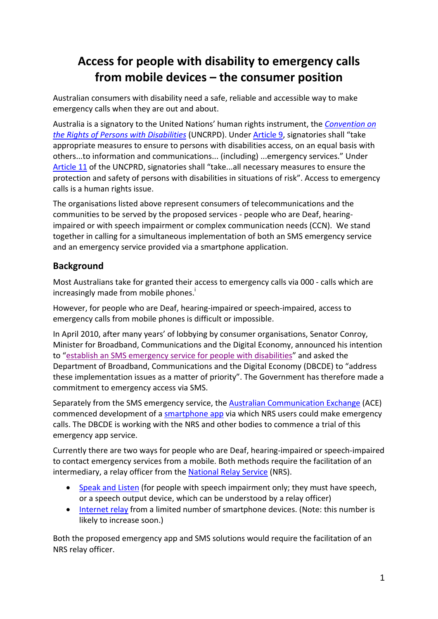## **Access for people with disability to emergency calls from mobile devices – the consumer position**

Australian consumers with disability need a safe, reliable and accessible way to make emergency calls when they are out and about.

Australia is a signatory to the United Nations' human rights instrument, the *Convention on the Rights of Persons with Disabilities* (UNCRPD). Under Article 9, signatories shall "take appropriate measures to ensure to persons with disabilities access, on an equal basis with others...to information and communications... (including) ...emergency services." Under Article 11 of the UNCPRD, signatories shall "take...all necessary measures to ensure the protection and safety of persons with disabilities in situations of risk". Access to emergency calls is a human rights issue.

The organisations listed above represent consumers of telecommunications and the communities to be served by the proposed services ‐ people who are Deaf, hearing‐ impaired or with speech impairment or complex communication needs (CCN). We stand together in calling for a simultaneous implementation of both an SMS emergency service and an emergency service provided via a smartphone application.

#### **Background**

Most Australians take for granted their access to emergency calls via 000 ‐ calls which are increasingly made from mobile phones.<sup>i</sup>

However, for people who are Deaf, hearing‐impaired or speech‐impaired, access to emergency calls from mobile phones is difficult or impossible.

In April 2010, after many years' of lobbying by consumer organisations, Senator Conroy, Minister for Broadband, Communications and the Digital Economy, announced his intention to "establish an SMS emergency service for people with disabilities" and asked the Department of Broadband, Communications and the Digital Economy (DBCDE) to "address these implementation issues as a matter of priority". The Government has therefore made a commitment to emergency access via SMS.

Separately from the SMS emergency service, the Australian Communication Exchange (ACE) commenced development of a smartphone app via which NRS users could make emergency calls. The DBCDE is working with the NRS and other bodies to commence a trial of this emergency app service.

Currently there are two ways for people who are Deaf, hearing‐impaired or speech‐impaired to contact emergency services from a mobile. Both methods require the facilitation of an intermediary, a relay officer from the National Relay Service (NRS).

- Speak and Listen (for people with speech impairment only; they must have speech, or a speech output device, which can be understood by a relay officer)
- Internet relay from a limited number of smartphone devices. (Note: this number is likely to increase soon.)

Both the proposed emergency app and SMS solutions would require the facilitation of an NRS relay officer.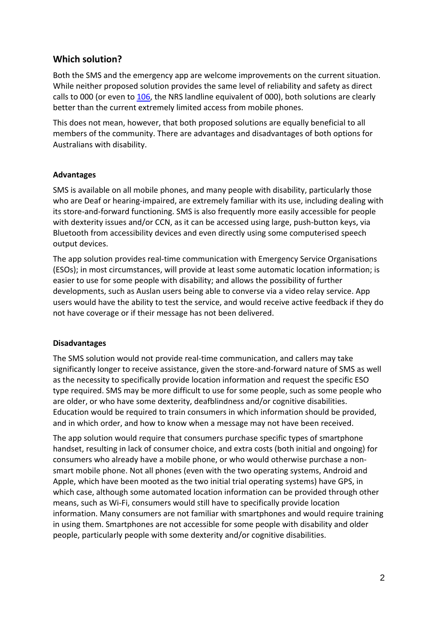#### **Which solution?**

Both the SMS and the emergency app are welcome improvements on the current situation. While neither proposed solution provides the same level of reliability and safety as direct calls to 000 (or even to 106, the NRS landline equivalent of 000), both solutions are clearly better than the current extremely limited access from mobile phones.

This does not mean, however, that both proposed solutions are equally beneficial to all members of the community. There are advantages and disadvantages of both options for Australians with disability.

#### **Advantages**

SMS is available on all mobile phones, and many people with disability, particularly those who are Deaf or hearing-impaired, are extremely familiar with its use, including dealing with its store-and-forward functioning. SMS is also frequently more easily accessible for people with dexterity issues and/or CCN, as it can be accessed using large, push-button keys, via Bluetooth from accessibility devices and even directly using some computerised speech output devices.

The app solution provides real‐time communication with Emergency Service Organisations (ESOs); in most circumstances, will provide at least some automatic location information; is easier to use for some people with disability; and allows the possibility of further developments, such as Auslan users being able to converse via a video relay service. App users would have the ability to test the service, and would receive active feedback if they do not have coverage or if their message has not been delivered.

#### **Disadvantages**

The SMS solution would not provide real‐time communication, and callers may take significantly longer to receive assistance, given the store-and-forward nature of SMS as well as the necessity to specifically provide location information and request the specific ESO type required. SMS may be more difficult to use for some people, such as some people who are older, or who have some dexterity, deafblindness and/or cognitive disabilities. Education would be required to train consumers in which information should be provided, and in which order, and how to know when a message may not have been received.

The app solution would require that consumers purchase specific types of smartphone handset, resulting in lack of consumer choice, and extra costs (both initial and ongoing) for consumers who already have a mobile phone, or who would otherwise purchase a non‐ smart mobile phone. Not all phones (even with the two operating systems, Android and Apple, which have been mooted as the two initial trial operating systems) have GPS, in which case, although some automated location information can be provided through other means, such as Wi‐Fi, consumers would still have to specifically provide location information. Many consumers are not familiar with smartphones and would require training in using them. Smartphones are not accessible for some people with disability and older people, particularly people with some dexterity and/or cognitive disabilities.